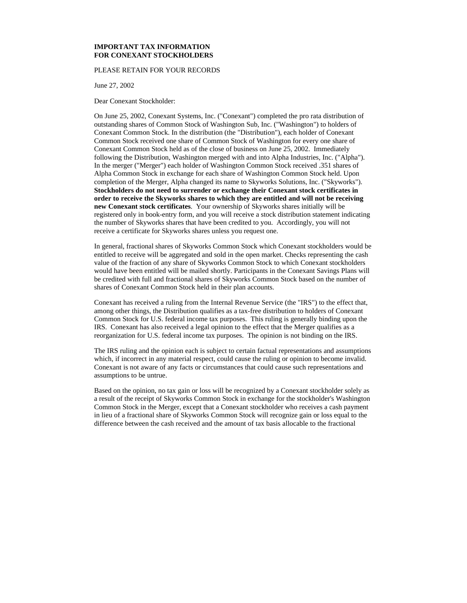# **IMPORTANT TAX INFORMATION FOR CONEXANT STOCKHOLDERS**

### PLEASE RETAIN FOR YOUR RECORDS

June 27, 2002

Dear Conexant Stockholder:

On June 25, 2002, Conexant Systems, Inc. ("Conexant") completed the pro rata distribution of outstanding shares of Common Stock of Washington Sub, Inc. ("Washington") to holders of Conexant Common Stock. In the distribution (the "Distribution"), each holder of Conexant Common Stock received one share of Common Stock of Washington for every one share of Conexant Common Stock held as of the close of business on June 25, 2002. Immediately following the Distribution, Washington merged with and into Alpha Industries, Inc. ("Alpha"). In the merger ("Merger") each holder of Washington Common Stock received .351 shares of Alpha Common Stock in exchange for each share of Washington Common Stock held. Upon completion of the Merger, Alpha changed its name to Skyworks Solutions, Inc. ("Skyworks"). **Stockholders do not need to surrender or exchange their Conexant stock certificates in order to receive the Skyworks shares to which they are entitled and will not be receiving new Conexant stock certificates**. Your ownership of Skyworks shares initially will be registered only in book-entry form, and you will receive a stock distribution statement indicating the number of Skyworks shares that have been credited to you. Accordingly, you will not receive a certificate for Skyworks shares unless you request one.

In general, fractional shares of Skyworks Common Stock which Conexant stockholders would be entitled to receive will be aggregated and sold in the open market. Checks representing the cash value of the fraction of any share of Skyworks Common Stock to which Conexant stockholders would have been entitled will be mailed shortly. Participants in the Conexant Savings Plans will be credited with full and fractional shares of Skyworks Common Stock based on the number of shares of Conexant Common Stock held in their plan accounts.

Conexant has received a ruling from the Internal Revenue Service (the "IRS") to the effect that, among other things, the Distribution qualifies as a tax-free distribution to holders of Conexant Common Stock for U.S. federal income tax purposes. This ruling is generally binding upon the IRS. Conexant has also received a legal opinion to the effect that the Merger qualifies as a reorganization for U.S. federal income tax purposes. The opinion is not binding on the IRS.

The IRS ruling and the opinion each is subject to certain factual representations and assumptions which, if incorrect in any material respect, could cause the ruling or opinion to become invalid. Conexant is not aware of any facts or circumstances that could cause such representations and assumptions to be untrue.

Based on the opinion, no tax gain or loss will be recognized by a Conexant stockholder solely as a result of the receipt of Skyworks Common Stock in exchange for the stockholder's Washington Common Stock in the Merger, except that a Conexant stockholder who receives a cash payment in lieu of a fractional share of Skyworks Common Stock will recognize gain or loss equal to the difference between the cash received and the amount of tax basis allocable to the fractional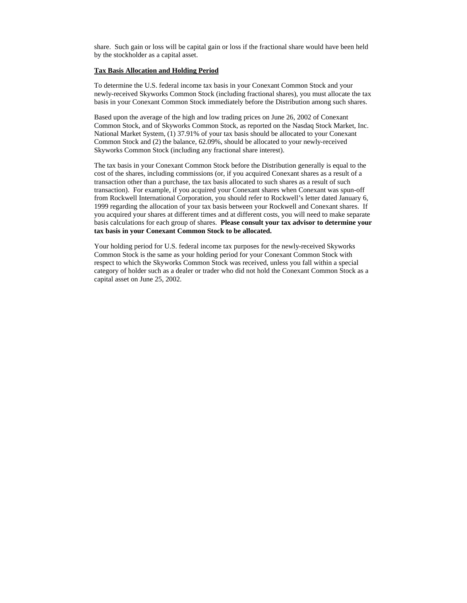share. Such gain or loss will be capital gain or loss if the fractional share would have been held by the stockholder as a capital asset.

## **Tax Basis Allocation and Holding Period**

To determine the U.S. federal income tax basis in your Conexant Common Stock and your newly-received Skyworks Common Stock (including fractional shares), you must allocate the tax basis in your Conexant Common Stock immediately before the Distribution among such shares.

Based upon the average of the high and low trading prices on June 26, 2002 of Conexant Common Stock, and of Skyworks Common Stock, as reported on the Nasdaq Stock Market, Inc. National Market System, (1) 37.91% of your tax basis should be allocated to your Conexant Common Stock and (2) the balance, 62.09%, should be allocated to your newly-received Skyworks Common Stock (including any fractional share interest).

The tax basis in your Conexant Common Stock before the Distribution generally is equal to the cost of the shares, including commissions (or, if you acquired Conexant shares as a result of a transaction other than a purchase, the tax basis allocated to such shares as a result of such transaction). For example, if you acquired your Conexant shares when Conexant was spun-off from Rockwell International Corporation, you should refer to Rockwell's letter dated January 6, 1999 regarding the allocation of your tax basis between your Rockwell and Conexant shares. If you acquired your shares at different times and at different costs, you will need to make separate basis calculations for each group of shares. **Please consult your tax advisor to determine your tax basis in your Conexant Common Stock to be allocated.**

Your holding period for U.S. federal income tax purposes for the newly-received Skyworks Common Stock is the same as your holding period for your Conexant Common Stock with respect to which the Skyworks Common Stock was received, unless you fall within a special category of holder such as a dealer or trader who did not hold the Conexant Common Stock as a capital asset on June 25, 2002.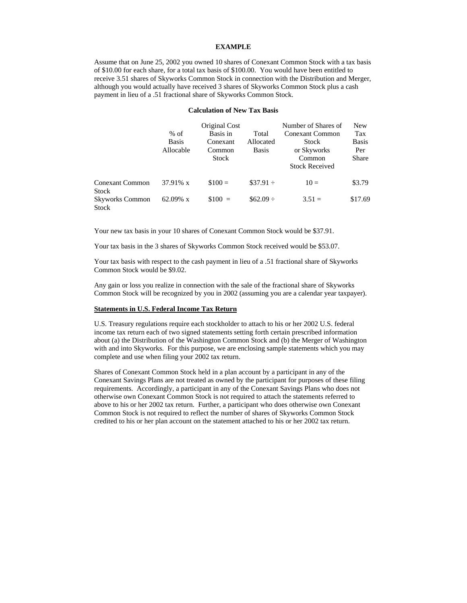## **EXAMPLE**

Assume that on June 25, 2002 you owned 10 shares of Conexant Common Stock with a tax basis of \$10.00 for each share, for a total tax basis of \$100.00. You would have been entitled to receive 3.51 shares of Skyworks Common Stock in connection with the Distribution and Merger, although you would actually have received 3 shares of Skyworks Common Stock plus a cash payment in lieu of a .51 fractional share of Skyworks Common Stock.

### **Calculation of New Tax Basis**

|                                                 | $%$ of<br><b>Basis</b><br>Allocable | Original Cost<br>Basis in<br>Conexant<br>Common<br>Stock | Total<br>Allocated<br><b>Basis</b> | Number of Shares of<br><b>Conexant Common</b><br>Stock<br>or Skyworks<br>Common<br><b>Stock Received</b> | New<br>Tax<br><b>Basis</b><br>Per<br><b>Share</b> |
|-------------------------------------------------|-------------------------------------|----------------------------------------------------------|------------------------------------|----------------------------------------------------------------------------------------------------------|---------------------------------------------------|
| <b>Conexant Common</b>                          | 37.91% x                            | $$100 =$                                                 | $\$37.91 \div$                     | $10 =$                                                                                                   | \$3.79                                            |
| Stock<br><b>Skyworks Common</b><br><b>Stock</b> | 62.09% $x$                          | $$100 =$                                                 | $$62.09 \div$                      | $3.51 =$                                                                                                 | \$17.69                                           |

Your new tax basis in your 10 shares of Conexant Common Stock would be \$37.91.

Your tax basis in the 3 shares of Skyworks Common Stock received would be \$53.07.

Your tax basis with respect to the cash payment in lieu of a .51 fractional share of Skyworks Common Stock would be \$9.02.

Any gain or loss you realize in connection with the sale of the fractional share of Skyworks Common Stock will be recognized by you in 2002 (assuming you are a calendar year taxpayer).

## **Statements in U.S. Federal Income Tax Return**

U.S. Treasury regulations require each stockholder to attach to his or her 2002 U.S. federal income tax return each of two signed statements setting forth certain prescribed information about (a) the Distribution of the Washington Common Stock and (b) the Merger of Washington with and into Skyworks. For this purpose, we are enclosing sample statements which you may complete and use when filing your 2002 tax return.

Shares of Conexant Common Stock held in a plan account by a participant in any of the Conexant Savings Plans are not treated as owned by the participant for purposes of these filing requirements. Accordingly, a participant in any of the Conexant Savings Plans who does not otherwise own Conexant Common Stock is not required to attach the statements referred to above to his or her 2002 tax return. Further, a participant who does otherwise own Conexant Common Stock is not required to reflect the number of shares of Skyworks Common Stock credited to his or her plan account on the statement attached to his or her 2002 tax return.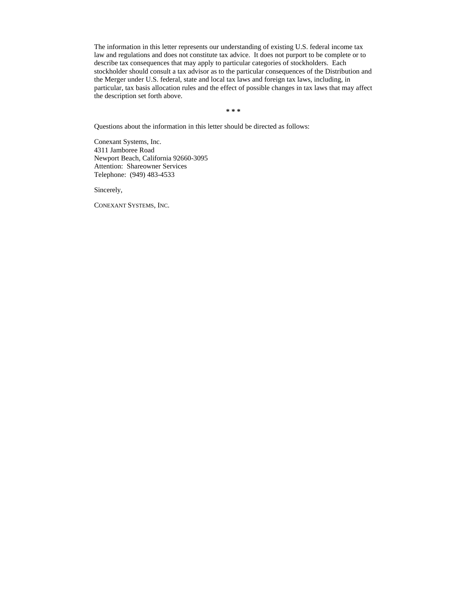The information in this letter represents our understanding of existing U.S. federal income tax law and regulations and does not constitute tax advice. It does not purport to be complete or to describe tax consequences that may apply to particular categories of stockholders. Each stockholder should consult a tax advisor as to the particular consequences of the Distribution and the Merger under U.S. federal, state and local tax laws and foreign tax laws, including, in particular, tax basis allocation rules and the effect of possible changes in tax laws that may affect the description set forth above.

**\* \* \***

Questions about the information in this letter should be directed as follows:

Conexant Systems, Inc. 4311 Jamboree Road Newport Beach, California 92660-3095 Attention: Shareowner Services Telephone: (949) 483-4533

Sincerely,

CONEXANT SYSTEMS, INC.